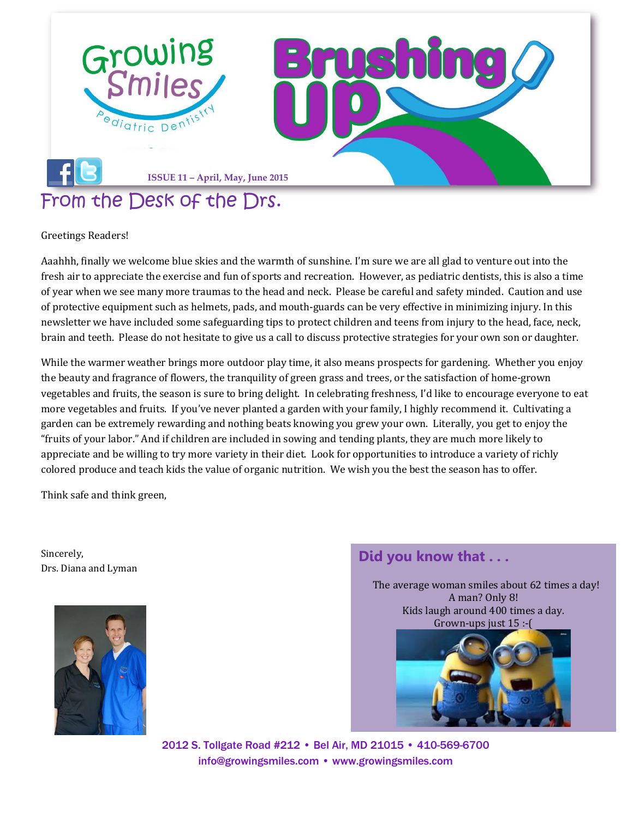

Greetings Readers!

Aaahhh, finally we welcome blue skies and the warmth of sunshine. I'm sure we are all glad to venture out into the fresh air to appreciate the exercise and fun of sports and recreation. However, as pediatric dentists, this is also a time of year when we see many more traumas to the head and neck. Please be careful and safety minded. Caution and use of protective equipment such as helmets, pads, and mouth-guards can be very effective in minimizing injury. In this newsletter we have included some safeguarding tips to protect children and teens from injury to the head, face, neck, brain and teeth. Please do not hesitate to give us a call to discuss protective strategies for your own son or daughter.

While the warmer weather brings more outdoor play time, it also means prospects for gardening. Whether you enjoy the beauty and fragrance of flowers, the tranquility of green grass and trees, or the satisfaction of home-grown vegetables and fruits, the season is sure to bring delight. In celebrating freshness, I'd like to encourage everyone to eat more vegetables and fruits. If you've never planted a garden with your family, I highly recommend it. Cultivating a garden can be extremely rewarding and nothing beats knowing you grew your own. Literally, you get to enjoy the "fruits of your labor." And if children are included in sowing and tending plants, they are much more likely to appreciate and be willing to try more variety in their diet. Look for opportunities to introduce a variety of richly colored produce and teach kids the value of organic nutrition. We wish you the best the season has to offer.

Think safe and think green,

Sincerely, Drs. Diana and Lyman



## **Did you know that . . .**

 The average woman smiles about 62 times a day! A man? Only 8! Kids laugh around 400 times a day. Grown-ups just 15 :-(



2012 S. Tollgate Road #212 • Bel Air, MD 21015 • 410-569-6700 [info@growingsmiles.com](mailto:info@growingsmiles.com) • [www.growingsmiles.com](http://www.growingsmiles.com/)

l